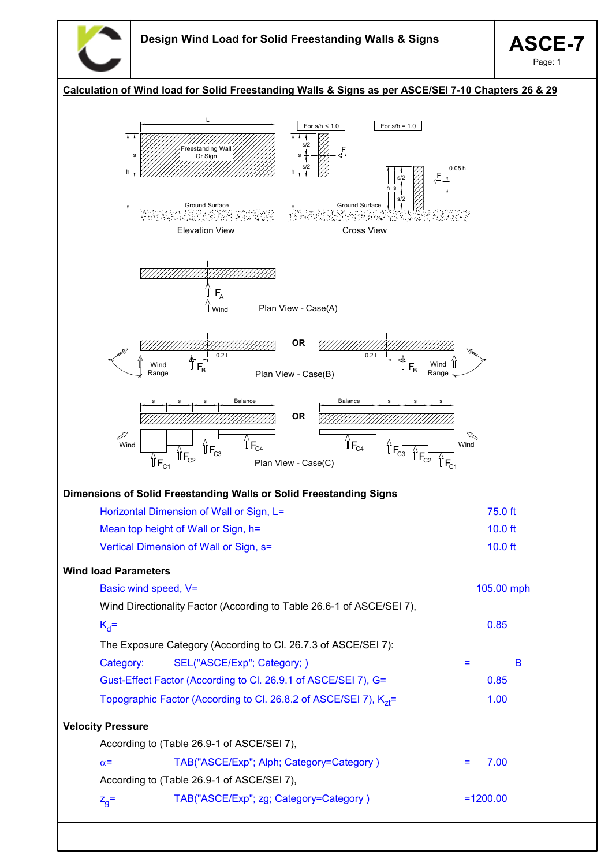

| Calculation of Wind load for Solid Freestanding Walls & Signs as per ASCE/SEI 7-10 Chapters 26 & 29                                                                                                                                                                                            |                                                      |
|------------------------------------------------------------------------------------------------------------------------------------------------------------------------------------------------------------------------------------------------------------------------------------------------|------------------------------------------------------|
| L<br>For $s/h < 1.0$<br>For $s/h = 1.0$<br>s/2<br>Freestanding Wall<br>F<br>Or Sign<br>⇦<br>s<br>s/2<br>h<br>s/2<br>s/2<br>Ground Surface<br>Ground Surface<br><b>Cross View</b><br><b>Elevation View</b>                                                                                      | 0.05h<br>と<br>一                                      |
| ï<br>$F_A$<br>$\int$ Wind<br>Plan View - Case(A)                                                                                                                                                                                                                                               |                                                      |
| <b>OR</b><br>0.2L<br>0.2L<br>$\mathbb{T}_{\mathsf{F}_{\mathsf{B}}}$<br>$F_B$<br>Wind<br>Plan View - Case(B)<br>Range                                                                                                                                                                           | Wind<br>Range                                        |
| Balance<br>Balance<br><b>OR</b><br>$\mathcal{J}$<br>$\int_{0}^{1}$ F <sub>C4</sub><br>$\mathbb{I}_{\mathsf{F}_{\mathsf{C}4}}$<br>$\sqrt[7]{F_{C3}}$<br>Wind<br>$\int_{0}^{\pi}$<br>$\overline{\mathbb{F}}_{C2}$<br>$\mathbb{I}_{F_{C2}}$<br>$\mathbf{r}_{\mathsf{c}_1}$<br>Plan View - Case(C) | D<br>Wind<br>$\mathbb{I}_{\mathsf{F}_{\mathsf{C1}}}$ |
| Dimensions of Solid Freestanding Walls or Solid Freestanding Signs                                                                                                                                                                                                                             |                                                      |
| Horizontal Dimension of Wall or Sign, L=                                                                                                                                                                                                                                                       | 75.0 ft                                              |
| Mean top height of Wall or Sign, h=                                                                                                                                                                                                                                                            | $10.0$ ft                                            |
| Vertical Dimension of Wall or Sign, s=                                                                                                                                                                                                                                                         | $10.0$ ft                                            |
| <b>Wind load Parameters</b>                                                                                                                                                                                                                                                                    |                                                      |
| Basic wind speed, V=                                                                                                                                                                                                                                                                           | 105.00 mph                                           |
| Wind Directionality Factor (According to Table 26.6-1 of ASCE/SEI 7),                                                                                                                                                                                                                          |                                                      |
| $K_d =$                                                                                                                                                                                                                                                                                        | 0.85                                                 |
| The Exposure Category (According to Cl. 26.7.3 of ASCE/SEI 7):                                                                                                                                                                                                                                 |                                                      |
| SEL("ASCE/Exp"; Category; )<br>Category:                                                                                                                                                                                                                                                       | B<br>Ξ                                               |
| Gust-Effect Factor (According to Cl. 26.9.1 of ASCE/SEI 7), G=                                                                                                                                                                                                                                 | 0.85                                                 |
| Topographic Factor (According to Cl. 26.8.2 of ASCE/SEI 7), K <sub>71</sub> =                                                                                                                                                                                                                  | 1.00                                                 |
| <b>Velocity Pressure</b>                                                                                                                                                                                                                                                                       |                                                      |
| According to (Table 26.9-1 of ASCE/SEI 7),                                                                                                                                                                                                                                                     |                                                      |
| TAB("ASCE/Exp"; Alph; Category=Category)<br>$\alpha$ =                                                                                                                                                                                                                                         | 7.00<br>Ξ                                            |
| According to (Table 26.9-1 of ASCE/SEI 7),                                                                                                                                                                                                                                                     |                                                      |
| TAB("ASCE/Exp"; zg; Category=Category)<br>$Z_{q}$ =                                                                                                                                                                                                                                            | $=1200.00$                                           |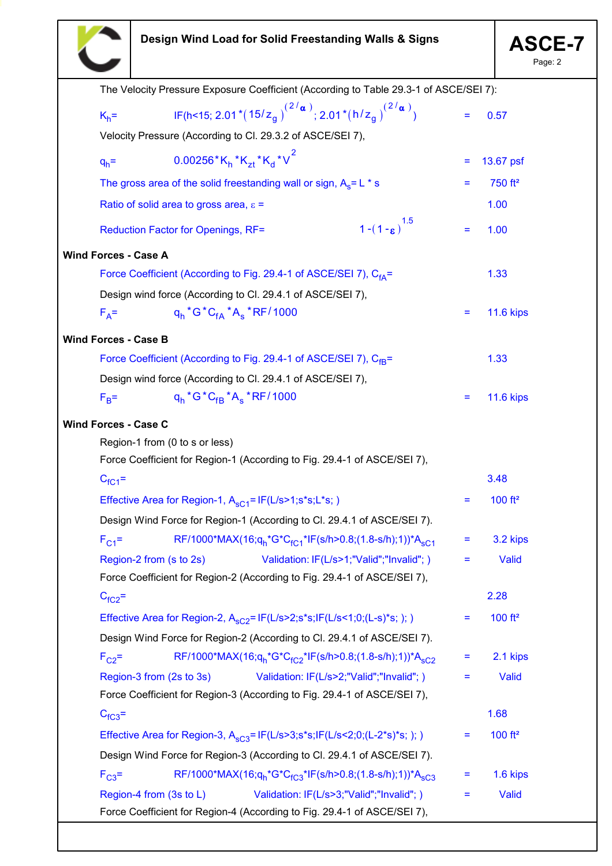

Page: 2

|                                                             |                                                                            |                                                                                                                      | The Velocity Pressure Exposure Coefficient (According to Table 29.3-1 of ASCE/SEI 7): |     |                     |
|-------------------------------------------------------------|----------------------------------------------------------------------------|----------------------------------------------------------------------------------------------------------------------|---------------------------------------------------------------------------------------|-----|---------------------|
| $K_h =$                                                     |                                                                            | IF(h<15; 2.01 *(15/z <sub>a</sub> ) <sup>(2/</sup> a); 2.01 *(h/z <sub>a</sub> ) <sup>(2/</sup> a)                   |                                                                                       |     | 0.57                |
|                                                             |                                                                            | Velocity Pressure (According to Cl. 29.3.2 of ASCE/SEI 7),                                                           |                                                                                       |     |                     |
| $q_h$ =                                                     | $0.00256$ *K <sub>h</sub> *K <sub>zt</sub> *K <sub>d</sub> *V <sup>2</sup> |                                                                                                                      |                                                                                       | Ξ   | 13.67 psf           |
|                                                             |                                                                            | The gross area of the solid freestanding wall or sign, $A_s = L * s$                                                 |                                                                                       | Ξ   | 750 ft <sup>2</sup> |
| Ratio of solid area to gross area, $\varepsilon$ =          |                                                                            |                                                                                                                      |                                                                                       |     | 1.00                |
|                                                             | Reduction Factor for Openings, RF=                                         |                                                                                                                      | $1-(1-\epsilon)^{1.5}$                                                                | Ξ   | 1.00                |
| <b>Wind Forces - Case A</b>                                 |                                                                            |                                                                                                                      |                                                                                       |     |                     |
|                                                             |                                                                            | Force Coefficient (According to Fig. 29.4-1 of ASCE/SEI 7), C <sub>fA</sub> =                                        |                                                                                       |     | 1.33                |
|                                                             |                                                                            | Design wind force (According to Cl. 29.4.1 of ASCE/SEI 7),                                                           |                                                                                       |     |                     |
| $F_A =$                                                     | $q_h$ *G*C <sub>fA</sub> *A <sub>s</sub> *RF/1000                          |                                                                                                                      |                                                                                       | Ξ   | <b>11.6 kips</b>    |
| <b>Wind Forces - Case B</b>                                 |                                                                            |                                                                                                                      |                                                                                       |     |                     |
|                                                             |                                                                            | Force Coefficient (According to Fig. 29.4-1 of ASCE/SEI 7), C <sub>fB</sub> =                                        |                                                                                       |     | 1.33                |
|                                                             |                                                                            | Design wind force (According to Cl. 29.4.1 of ASCE/SEI 7),                                                           |                                                                                       |     |                     |
| $F_B =$                                                     | $q_h$ *G*C <sub>fB</sub> *A <sub>s</sub> *RF/1000                          |                                                                                                                      |                                                                                       | Ξ   | <b>11.6 kips</b>    |
| <b>Wind Forces - Case C</b>                                 |                                                                            |                                                                                                                      |                                                                                       |     |                     |
| Region-1 from (0 to s or less)                              |                                                                            |                                                                                                                      |                                                                                       |     |                     |
|                                                             |                                                                            | Force Coefficient for Region-1 (According to Fig. 29.4-1 of ASCE/SEI 7),                                             |                                                                                       |     |                     |
| $C_{fC1}$ =                                                 |                                                                            |                                                                                                                      |                                                                                       |     | 3.48                |
| Effective Area for Region-1, $A_{sC1}$ = IF(L/s>1;s*s;L*s;) |                                                                            |                                                                                                                      |                                                                                       |     | 100 ft <sup>2</sup> |
|                                                             | Design Wind Force for Region-1 (According to Cl. 29.4.1 of ASCE/SEI 7).    |                                                                                                                      |                                                                                       |     |                     |
| $F_{C1}$ =                                                  |                                                                            | RF/1000*MAX(16;q <sub>h</sub> *G*C <sub>fC1</sub> *IF(s/h>0.8;(1.8-s/h);1))*A <sub>sC1</sub>                         |                                                                                       | $=$ | 3.2 kips            |
| Region-2 from (s to 2s)                                     |                                                                            | Validation: IF(L/s>1;"Valid";"Invalid";)                                                                             |                                                                                       | Ξ   | Valid               |
|                                                             |                                                                            | Force Coefficient for Region-2 (According to Fig. 29.4-1 of ASCE/SEI 7),                                             |                                                                                       |     |                     |
| $C_{fC2}$ =                                                 |                                                                            |                                                                                                                      |                                                                                       |     | 2.28                |
|                                                             |                                                                            | Effective Area for Region-2, $A_{sC2}$ = IF(L/s>2;s*s;IF(L/s<1;0;(L-s)*s;);)                                         |                                                                                       | Ξ   | 100 ft <sup>2</sup> |
|                                                             |                                                                            | Design Wind Force for Region-2 (According to Cl. 29.4.1 of ASCE/SEI 7).                                              |                                                                                       |     |                     |
| $F_{C2}$ =                                                  |                                                                            | RF/1000*MAX(16;q <sub>h</sub> *G*C <sub>fC2</sub> *IF(s/h>0.8;(1.8-s/h);1))*A <sub>sC2</sub>                         |                                                                                       | Ξ   | 2.1 kips            |
| Region-3 from (2s to 3s)                                    |                                                                            | Validation: IF(L/s>2;"Valid";"Invalid";)                                                                             |                                                                                       | Ξ   | Valid               |
|                                                             |                                                                            | Force Coefficient for Region-3 (According to Fig. 29.4-1 of ASCE/SEI 7),                                             |                                                                                       |     |                     |
| $C_{fC3}$ =                                                 |                                                                            |                                                                                                                      |                                                                                       |     | 1.68                |
|                                                             |                                                                            | Effective Area for Region-3, $A_{sC3} = IF(L/s > 3; s*s; IF(L/s < 2; 0; (L-2*s)*s; ))$                               |                                                                                       | Ξ   | 100 ft <sup>2</sup> |
|                                                             |                                                                            | Design Wind Force for Region-3 (According to Cl. 29.4.1 of ASCE/SEI 7).                                              |                                                                                       |     |                     |
| $F_{C3}$ =                                                  |                                                                            | RF/1000*MAX(16;q <sub>h</sub> *G*C <sub>fC3</sub> *IF(s/h>0.8;(1.8-s/h);1))*A <sub>sC3</sub>                         |                                                                                       | Ξ   | 1.6 kips            |
| Region-4 from (3s to L)                                     |                                                                            | Validation: IF(L/s>3;"Valid";"Invalid";)<br>Force Coefficient for Region-4 (According to Fig. 29.4-1 of ASCE/SEI 7), |                                                                                       | Ξ   | Valid               |